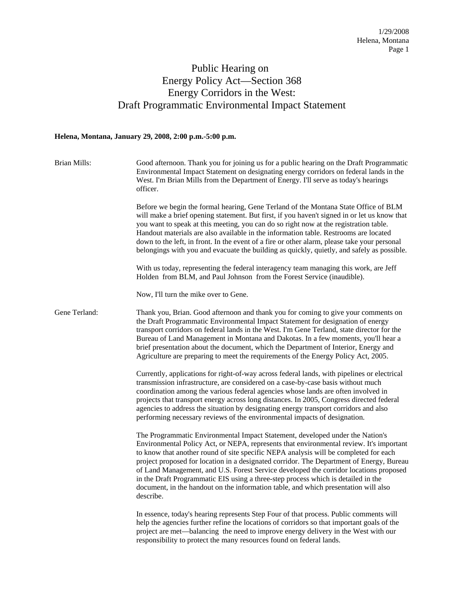## Public Hearing on Energy Policy Act—Section 368 Energy Corridors in the West: Draft Programmatic Environmental Impact Statement

## **Helena, Montana, January 29, 2008, 2:00 p.m.-5:00 p.m.**

| Brian Mills:  | Good afternoon. Thank you for joining us for a public hearing on the Draft Programmatic<br>Environmental Impact Statement on designating energy corridors on federal lands in the<br>West. I'm Brian Mills from the Department of Energy. I'll serve as today's hearings<br>officer.                                                                                                                                                                                                                                                                                                                                                           |
|---------------|------------------------------------------------------------------------------------------------------------------------------------------------------------------------------------------------------------------------------------------------------------------------------------------------------------------------------------------------------------------------------------------------------------------------------------------------------------------------------------------------------------------------------------------------------------------------------------------------------------------------------------------------|
|               | Before we begin the formal hearing, Gene Terland of the Montana State Office of BLM<br>will make a brief opening statement. But first, if you haven't signed in or let us know that<br>you want to speak at this meeting, you can do so right now at the registration table.<br>Handout materials are also available in the information table. Restrooms are located<br>down to the left, in front. In the event of a fire or other alarm, please take your personal<br>belongings with you and evacuate the building as quickly, quietly, and safely as possible.                                                                             |
|               | With us today, representing the federal interagency team managing this work, are Jeff<br>Holden from BLM, and Paul Johnson from the Forest Service (inaudible).                                                                                                                                                                                                                                                                                                                                                                                                                                                                                |
|               | Now, I'll turn the mike over to Gene.                                                                                                                                                                                                                                                                                                                                                                                                                                                                                                                                                                                                          |
| Gene Terland: | Thank you, Brian. Good afternoon and thank you for coming to give your comments on<br>the Draft Programmatic Environmental Impact Statement for designation of energy<br>transport corridors on federal lands in the West. I'm Gene Terland, state director for the<br>Bureau of Land Management in Montana and Dakotas. In a few moments, you'll hear a<br>brief presentation about the document, which the Department of Interior, Energy and<br>Agriculture are preparing to meet the requirements of the Energy Policy Act, 2005.                                                                                                          |
|               | Currently, applications for right-of-way across federal lands, with pipelines or electrical<br>transmission infrastructure, are considered on a case-by-case basis without much<br>coordination among the various federal agencies whose lands are often involved in<br>projects that transport energy across long distances. In 2005, Congress directed federal<br>agencies to address the situation by designating energy transport corridors and also<br>performing necessary reviews of the environmental impacts of designation.                                                                                                          |
|               | The Programmatic Environmental Impact Statement, developed under the Nation's<br>Environmental Policy Act, or NEPA, represents that environmental review. It's important<br>to know that another round of site specific NEPA analysis will be completed for each<br>project proposed for location in a designated corridor. The Department of Energy, Bureau<br>of Land Management, and U.S. Forest Service developed the corridor locations proposed<br>in the Draft Programmatic EIS using a three-step process which is detailed in the<br>document, in the handout on the information table, and which presentation will also<br>describe. |
|               | In essence, today's hearing represents Step Four of that process. Public comments will<br>help the agencies further refine the locations of corridors so that important goals of the<br>project are met—balancing the need to improve energy delivery in the West with our<br>responsibility to protect the many resources found on federal lands.                                                                                                                                                                                                                                                                                             |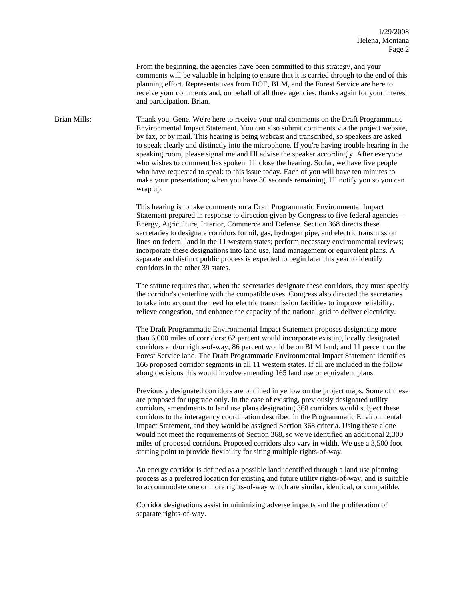From the beginning, the agencies have been committed to this strategy, and your comments will be valuable in helping to ensure that it is carried through to the end of this planning effort. Representatives from DOE, BLM, and the Forest Service are here to receive your comments and, on behalf of all three agencies, thanks again for your interest and participation. Brian.

Brian Mills: Thank you, Gene. We're here to receive your oral comments on the Draft Programmatic Environmental Impact Statement. You can also submit comments via the project website, by fax, or by mail. This hearing is being webcast and transcribed, so speakers are asked to speak clearly and distinctly into the microphone. If you're having trouble hearing in the speaking room, please signal me and I'll advise the speaker accordingly. After everyone who wishes to comment has spoken, I'll close the hearing. So far, we have five people who have requested to speak to this issue today. Each of you will have ten minutes to make your presentation; when you have 30 seconds remaining, I'll notify you so you can wrap up.

> This hearing is to take comments on a Draft Programmatic Environmental Impact Statement prepared in response to direction given by Congress to five federal agencies— Energy, Agriculture, Interior, Commerce and Defense. Section 368 directs these secretaries to designate corridors for oil, gas, hydrogen pipe, and electric transmission lines on federal land in the 11 western states; perform necessary environmental reviews; incorporate these designations into land use, land management or equivalent plans. A separate and distinct public process is expected to begin later this year to identify corridors in the other 39 states.

The statute requires that, when the secretaries designate these corridors, they must specify the corridor's centerline with the compatible uses. Congress also directed the secretaries to take into account the need for electric transmission facilities to improve reliability, relieve congestion, and enhance the capacity of the national grid to deliver electricity.

The Draft Programmatic Environmental Impact Statement proposes designating more than 6,000 miles of corridors: 62 percent would incorporate existing locally designated corridors and/or rights-of-way; 86 percent would be on BLM land; and 11 percent on the Forest Service land. The Draft Programmatic Environmental Impact Statement identifies 166 proposed corridor segments in all 11 western states. If all are included in the follow along decisions this would involve amending 165 land use or equivalent plans.

Previously designated corridors are outlined in yellow on the project maps. Some of these are proposed for upgrade only. In the case of existing, previously designated utility corridors, amendments to land use plans designating 368 corridors would subject these corridors to the interagency coordination described in the Programmatic Environmental Impact Statement, and they would be assigned Section 368 criteria. Using these alone would not meet the requirements of Section 368, so we've identified an additional 2,300 miles of proposed corridors. Proposed corridors also vary in width. We use a 3,500 foot starting point to provide flexibility for siting multiple rights-of-way.

An energy corridor is defined as a possible land identified through a land use planning process as a preferred location for existing and future utility rights-of-way, and is suitable to accommodate one or more rights-of-way which are similar, identical, or compatible.

Corridor designations assist in minimizing adverse impacts and the proliferation of separate rights-of-way.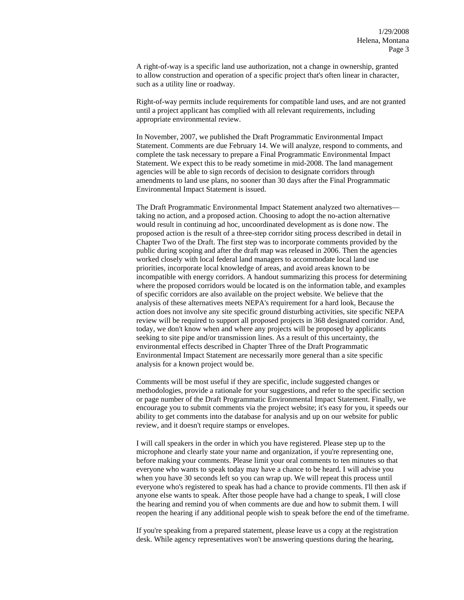A right-of-way is a specific land use authorization, not a change in ownership, granted to allow construction and operation of a specific project that's often linear in character, such as a utility line or roadway.

Right-of-way permits include requirements for compatible land uses, and are not granted until a project applicant has complied with all relevant requirements, including appropriate environmental review.

In November, 2007, we published the Draft Programmatic Environmental Impact Statement. Comments are due February 14. We will analyze, respond to comments, and complete the task necessary to prepare a Final Programmatic Environmental Impact Statement. We expect this to be ready sometime in mid-2008. The land management agencies will be able to sign records of decision to designate corridors through amendments to land use plans, no sooner than 30 days after the Final Programmatic Environmental Impact Statement is issued.

The Draft Programmatic Environmental Impact Statement analyzed two alternatives taking no action, and a proposed action. Choosing to adopt the no-action alternative would result in continuing ad hoc, uncoordinated development as is done now. The proposed action is the result of a three-step corridor siting process described in detail in Chapter Two of the Draft. The first step was to incorporate comments provided by the public during scoping and after the draft map was released in 2006. Then the agencies worked closely with local federal land managers to accommodate local land use priorities, incorporate local knowledge of areas, and avoid areas known to be incompatible with energy corridors. A handout summarizing this process for determining where the proposed corridors would be located is on the information table, and examples of specific corridors are also available on the project website. We believe that the analysis of these alternatives meets NEPA's requirement for a hard look, Because the action does not involve any site specific ground disturbing activities, site specific NEPA review will be required to support all proposed projects in 368 designated corridor. And, today, we don't know when and where any projects will be proposed by applicants seeking to site pipe and/or transmission lines. As a result of this uncertainty, the environmental effects described in Chapter Three of the Draft Programmatic Environmental Impact Statement are necessarily more general than a site specific analysis for a known project would be.

Comments will be most useful if they are specific, include suggested changes or methodologies, provide a rationale for your suggestions, and refer to the specific section or page number of the Draft Programmatic Environmental Impact Statement. Finally, we encourage you to submit comments via the project website; it's easy for you, it speeds our ability to get comments into the database for analysis and up on our website for public review, and it doesn't require stamps or envelopes.

I will call speakers in the order in which you have registered. Please step up to the microphone and clearly state your name and organization, if you're representing one, before making your comments. Please limit your oral comments to ten minutes so that everyone who wants to speak today may have a chance to be heard. I will advise you when you have 30 seconds left so you can wrap up. We will repeat this process until everyone who's registered to speak has had a chance to provide comments. I'll then ask if anyone else wants to speak. After those people have had a change to speak, I will close the hearing and remind you of when comments are due and how to submit them. I will reopen the hearing if any additional people wish to speak before the end of the timeframe.

If you're speaking from a prepared statement, please leave us a copy at the registration desk. While agency representatives won't be answering questions during the hearing,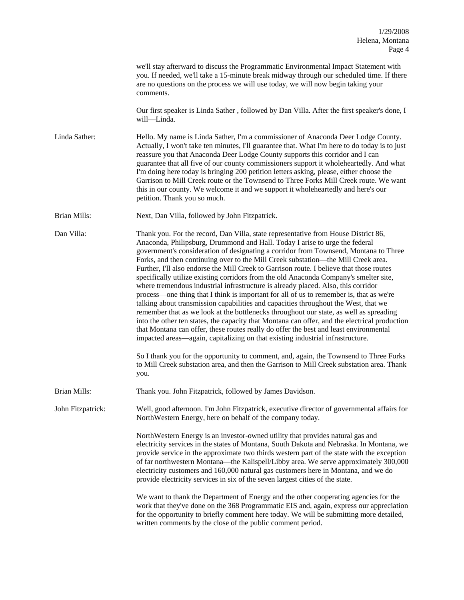|                     | we'll stay afterward to discuss the Programmatic Environmental Impact Statement with<br>you. If needed, we'll take a 15-minute break midway through our scheduled time. If there<br>are no questions on the process we will use today, we will now begin taking your<br>comments.                                                                                                                                                                                                                                                                                                                                                                                                                                                                                                                                                                                                                                                                                                                                                                                                                                                                                                                                                                                          |
|---------------------|----------------------------------------------------------------------------------------------------------------------------------------------------------------------------------------------------------------------------------------------------------------------------------------------------------------------------------------------------------------------------------------------------------------------------------------------------------------------------------------------------------------------------------------------------------------------------------------------------------------------------------------------------------------------------------------------------------------------------------------------------------------------------------------------------------------------------------------------------------------------------------------------------------------------------------------------------------------------------------------------------------------------------------------------------------------------------------------------------------------------------------------------------------------------------------------------------------------------------------------------------------------------------|
|                     | Our first speaker is Linda Sather, followed by Dan Villa. After the first speaker's done, I<br>will-Linda.                                                                                                                                                                                                                                                                                                                                                                                                                                                                                                                                                                                                                                                                                                                                                                                                                                                                                                                                                                                                                                                                                                                                                                 |
| Linda Sather:       | Hello. My name is Linda Sather, I'm a commissioner of Anaconda Deer Lodge County.<br>Actually, I won't take ten minutes, I'll guarantee that. What I'm here to do today is to just<br>reassure you that Anaconda Deer Lodge County supports this corridor and I can<br>guarantee that all five of our county commissioners support it wholeheartedly. And what<br>I'm doing here today is bringing 200 petition letters asking, please, either choose the<br>Garrison to Mill Creek route or the Townsend to Three Forks Mill Creek route. We want<br>this in our county. We welcome it and we support it wholeheartedly and here's our<br>petition. Thank you so much.                                                                                                                                                                                                                                                                                                                                                                                                                                                                                                                                                                                                    |
| <b>Brian Mills:</b> | Next, Dan Villa, followed by John Fitzpatrick.                                                                                                                                                                                                                                                                                                                                                                                                                                                                                                                                                                                                                                                                                                                                                                                                                                                                                                                                                                                                                                                                                                                                                                                                                             |
| Dan Villa:          | Thank you. For the record, Dan Villa, state representative from House District 86,<br>Anaconda, Philipsburg, Drummond and Hall. Today I arise to urge the federal<br>government's consideration of designating a corridor from Townsend, Montana to Three<br>Forks, and then continuing over to the Mill Creek substation—the Mill Creek area.<br>Further, I'll also endorse the Mill Creek to Garrison route. I believe that those routes<br>specifically utilize existing corridors from the old Anaconda Company's smelter site,<br>where tremendous industrial infrastructure is already placed. Also, this corridor<br>process—one thing that I think is important for all of us to remember is, that as we're<br>talking about transmission capabilities and capacities throughout the West, that we<br>remember that as we look at the bottlenecks throughout our state, as well as spreading<br>into the other ten states, the capacity that Montana can offer, and the electrical production<br>that Montana can offer, these routes really do offer the best and least environmental<br>impacted areas—again, capitalizing on that existing industrial infrastructure.<br>So I thank you for the opportunity to comment, and, again, the Townsend to Three Forks |
|                     | to Mill Creek substation area, and then the Garrison to Mill Creek substation area. Thank<br>you.                                                                                                                                                                                                                                                                                                                                                                                                                                                                                                                                                                                                                                                                                                                                                                                                                                                                                                                                                                                                                                                                                                                                                                          |
| Brian Mills:        | Thank you. John Fitzpatrick, followed by James Davidson.                                                                                                                                                                                                                                                                                                                                                                                                                                                                                                                                                                                                                                                                                                                                                                                                                                                                                                                                                                                                                                                                                                                                                                                                                   |
| John Fitzpatrick:   | Well, good afternoon. I'm John Fitzpatrick, executive director of governmental affairs for<br>NorthWestern Energy, here on behalf of the company today.                                                                                                                                                                                                                                                                                                                                                                                                                                                                                                                                                                                                                                                                                                                                                                                                                                                                                                                                                                                                                                                                                                                    |
|                     | NorthWestern Energy is an investor-owned utility that provides natural gas and<br>electricity services in the states of Montana, South Dakota and Nebraska. In Montana, we<br>provide service in the approximate two thirds western part of the state with the exception<br>of far northwestern Montana—the Kalispell/Libby area. We serve approximately 300,000<br>electricity customers and 160,000 natural gas customers here in Montana, and we do<br>provide electricity services in six of the seven largest cities of the state.                                                                                                                                                                                                                                                                                                                                                                                                                                                                                                                                                                                                                                                                                                                                    |
|                     | We want to thank the Department of Energy and the other cooperating agencies for the<br>work that they've done on the 368 Programmatic EIS and, again, express our appreciation<br>for the opportunity to briefly comment here today. We will be submitting more detailed,<br>written comments by the close of the public comment period.                                                                                                                                                                                                                                                                                                                                                                                                                                                                                                                                                                                                                                                                                                                                                                                                                                                                                                                                  |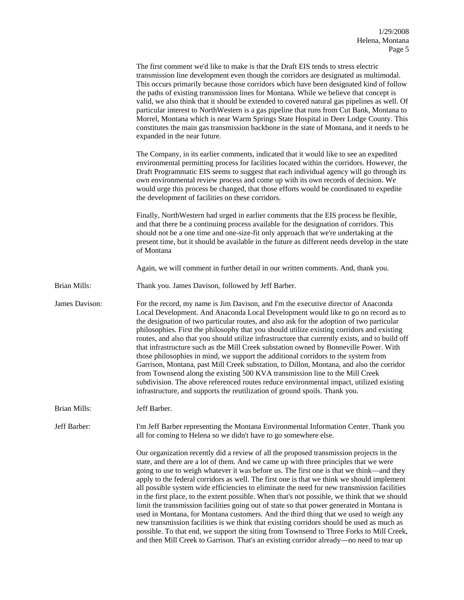|                | The first comment we'd like to make is that the Draft EIS tends to stress electric<br>transmission line development even though the corridors are designated as multimodal.<br>This occurs primarily because those corridors which have been designated kind of follow<br>the paths of existing transmission lines for Montana. While we believe that concept is<br>valid, we also think that it should be extended to covered natural gas pipelines as well. Of<br>particular interest to NorthWestern is a gas pipeline that runs from Cut Bank, Montana to<br>Morrel, Montana which is near Warm Springs State Hospital in Deer Lodge County. This<br>constitutes the main gas transmission backbone in the state of Montana, and it needs to be<br>expanded in the near future.                                                                                                                                                                                                                                                                   |
|----------------|-------------------------------------------------------------------------------------------------------------------------------------------------------------------------------------------------------------------------------------------------------------------------------------------------------------------------------------------------------------------------------------------------------------------------------------------------------------------------------------------------------------------------------------------------------------------------------------------------------------------------------------------------------------------------------------------------------------------------------------------------------------------------------------------------------------------------------------------------------------------------------------------------------------------------------------------------------------------------------------------------------------------------------------------------------|
|                | The Company, in its earlier comments, indicated that it would like to see an expedited<br>environmental permitting process for facilities located within the corridors. However, the<br>Draft Programmatic EIS seems to suggest that each individual agency will go through its<br>own environmental review process and come up with its own records of decision. We<br>would urge this process be changed, that those efforts would be coordinated to expedite<br>the development of facilities on these corridors.                                                                                                                                                                                                                                                                                                                                                                                                                                                                                                                                  |
|                | Finally, NorthWestern had urged in earlier comments that the EIS process be flexible,<br>and that there be a continuing process available for the designation of corridors. This<br>should not be a one time and one-size-fit only approach that we're undertaking at the<br>present time, but it should be available in the future as different needs develop in the state<br>of Montana                                                                                                                                                                                                                                                                                                                                                                                                                                                                                                                                                                                                                                                             |
|                | Again, we will comment in further detail in our written comments. And, thank you.                                                                                                                                                                                                                                                                                                                                                                                                                                                                                                                                                                                                                                                                                                                                                                                                                                                                                                                                                                     |
| Brian Mills:   | Thank you. James Davison, followed by Jeff Barber.                                                                                                                                                                                                                                                                                                                                                                                                                                                                                                                                                                                                                                                                                                                                                                                                                                                                                                                                                                                                    |
| James Davison: | For the record, my name is Jim Davison, and I'm the executive director of Anaconda<br>Local Development. And Anaconda Local Development would like to go on record as to<br>the designation of two particular routes, and also ask for the adoption of two particular<br>philosophies. First the philosophy that you should utilize existing corridors and existing<br>routes, and also that you should utilize infrastructure that currently exists, and to build off<br>that infrastructure such as the Mill Creek substation owned by Bonneville Power. With<br>those philosophies in mind, we support the additional corridors to the system from<br>Garrison, Montana, past Mill Creek substation, to Dillon, Montana, and also the corridor<br>from Townsend along the existing 500 KVA transmission line to the Mill Creek<br>subdivision. The above referenced routes reduce environmental impact, utilized existing<br>infrastructure, and supports the reutilization of ground spoils. Thank you.                                           |
| Brian Mills:   | Jeff Barber.                                                                                                                                                                                                                                                                                                                                                                                                                                                                                                                                                                                                                                                                                                                                                                                                                                                                                                                                                                                                                                          |
| Jeff Barber:   | I'm Jeff Barber representing the Montana Environmental Information Center. Thank you<br>all for coming to Helena so we didn't have to go somewhere else.                                                                                                                                                                                                                                                                                                                                                                                                                                                                                                                                                                                                                                                                                                                                                                                                                                                                                              |
|                | Our organization recently did a review of all the proposed transmission projects in the<br>state, and there are a lot of them. And we came up with three principles that we were<br>going to use to weigh whatever it was before us. The first one is that we think—and they<br>apply to the federal corridors as well. The first one is that we think we should implement<br>all possible system wide efficiencies to eliminate the need for new transmission facilities<br>in the first place, to the extent possible. When that's not possible, we think that we should<br>limit the transmission facilities going out of state so that power generated in Montana is<br>used in Montana, for Montana customers. And the third thing that we used to weigh any<br>new transmission facilities is we think that existing corridors should be used as much as<br>possible. To that end, we support the siting from Townsend to Three Forks to Mill Creek,<br>and then Mill Creek to Garrison. That's an existing corridor already—no need to tear up |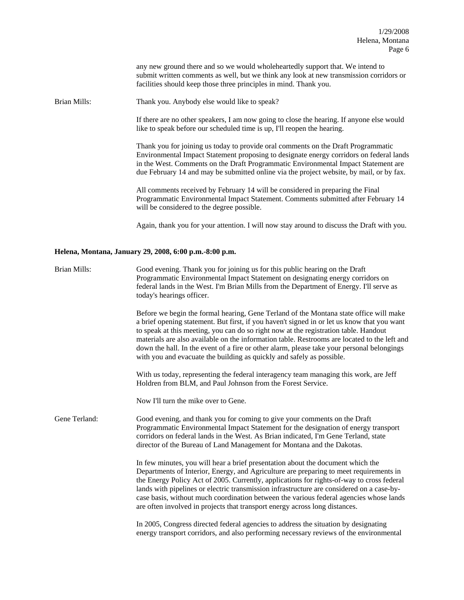any new ground there and so we would wholeheartedly support that. We intend to submit written comments as well, but we think any look at new transmission corridors or facilities should keep those three principles in mind. Thank you.

Brian Mills: Thank you. Anybody else would like to speak?

If there are no other speakers, I am now going to close the hearing. If anyone else would like to speak before our scheduled time is up, I'll reopen the hearing.

Thank you for joining us today to provide oral comments on the Draft Programmatic Environmental Impact Statement proposing to designate energy corridors on federal lands in the West. Comments on the Draft Programmatic Environmental Impact Statement are due February 14 and may be submitted online via the project website, by mail, or by fax.

All comments received by February 14 will be considered in preparing the Final Programmatic Environmental Impact Statement. Comments submitted after February 14 will be considered to the degree possible.

Again, thank you for your attention. I will now stay around to discuss the Draft with you.

## **Helena, Montana, January 29, 2008, 6:00 p.m.-8:00 p.m.**

| <b>Brian Mills:</b> | Good evening. Thank you for joining us for this public hearing on the Draft<br>Programmatic Environmental Impact Statement on designating energy corridors on<br>federal lands in the West. I'm Brian Mills from the Department of Energy. I'll serve as<br>today's hearings officer.                                                                                                                                                                                                                                                                |
|---------------------|------------------------------------------------------------------------------------------------------------------------------------------------------------------------------------------------------------------------------------------------------------------------------------------------------------------------------------------------------------------------------------------------------------------------------------------------------------------------------------------------------------------------------------------------------|
|                     | Before we begin the formal hearing, Gene Terland of the Montana state office will make<br>a brief opening statement. But first, if you haven't signed in or let us know that you want<br>to speak at this meeting, you can do so right now at the registration table. Handout<br>materials are also available on the information table. Restrooms are located to the left and<br>down the hall. In the event of a fire or other alarm, please take your personal belongings<br>with you and evacuate the building as quickly and safely as possible. |
|                     | With us today, representing the federal interagency team managing this work, are Jeff<br>Holdren from BLM, and Paul Johnson from the Forest Service.                                                                                                                                                                                                                                                                                                                                                                                                 |
|                     | Now I'll turn the mike over to Gene.                                                                                                                                                                                                                                                                                                                                                                                                                                                                                                                 |
| Gene Terland:       | Good evening, and thank you for coming to give your comments on the Draft<br>Programmatic Environmental Impact Statement for the designation of energy transport<br>corridors on federal lands in the West. As Brian indicated, I'm Gene Terland, state<br>director of the Bureau of Land Management for Montana and the Dakotas.                                                                                                                                                                                                                    |
|                     | In few minutes, you will hear a brief presentation about the document which the<br>Departments of Interior, Energy, and Agriculture are preparing to meet requirements in<br>the Energy Policy Act of 2005. Currently, applications for rights-of-way to cross federal<br>lands with pipelines or electric transmission infrastructure are considered on a case-by-<br>case basis, without much coordination between the various federal agencies whose lands<br>are often involved in projects that transport energy across long distances.         |
|                     | In 2005, Congress directed federal agencies to address the situation by designating<br>energy transport corridors, and also performing necessary reviews of the environmental                                                                                                                                                                                                                                                                                                                                                                        |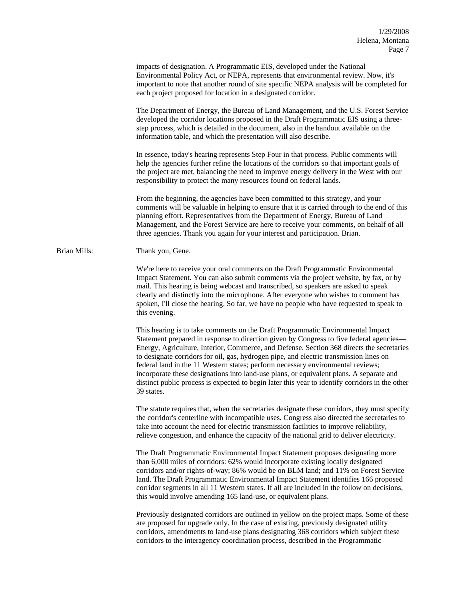|              | impacts of designation. A Programmatic EIS, developed under the National<br>Environmental Policy Act, or NEPA, represents that environmental review. Now, it's<br>important to note that another round of site specific NEPA analysis will be completed for<br>each project proposed for location in a designated corridor.                                                                                                                                                                                                                                                                                                                                      |
|--------------|------------------------------------------------------------------------------------------------------------------------------------------------------------------------------------------------------------------------------------------------------------------------------------------------------------------------------------------------------------------------------------------------------------------------------------------------------------------------------------------------------------------------------------------------------------------------------------------------------------------------------------------------------------------|
|              | The Department of Energy, the Bureau of Land Management, and the U.S. Forest Service<br>developed the corridor locations proposed in the Draft Programmatic EIS using a three-<br>step process, which is detailed in the document, also in the handout available on the<br>information table, and which the presentation will also describe.                                                                                                                                                                                                                                                                                                                     |
|              | In essence, today's hearing represents Step Four in that process. Public comments will<br>help the agencies further refine the locations of the corridors so that important goals of<br>the project are met, balancing the need to improve energy delivery in the West with our<br>responsibility to protect the many resources found on federal lands.                                                                                                                                                                                                                                                                                                          |
|              | From the beginning, the agencies have been committed to this strategy, and your<br>comments will be valuable in helping to ensure that it is carried through to the end of this<br>planning effort. Representatives from the Department of Energy, Bureau of Land<br>Management, and the Forest Service are here to receive your comments, on behalf of all<br>three agencies. Thank you again for your interest and participation. Brian.                                                                                                                                                                                                                       |
| Brian Mills: | Thank you, Gene.                                                                                                                                                                                                                                                                                                                                                                                                                                                                                                                                                                                                                                                 |
|              | We're here to receive your oral comments on the Draft Programmatic Environmental<br>Impact Statement. You can also submit comments via the project website, by fax, or by<br>mail. This hearing is being webcast and transcribed, so speakers are asked to speak<br>clearly and distinctly into the microphone. After everyone who wishes to comment has<br>spoken, I'll close the hearing. So far, we have no people who have requested to speak to<br>this evening.                                                                                                                                                                                            |
|              | This hearing is to take comments on the Draft Programmatic Environmental Impact<br>Statement prepared in response to direction given by Congress to five federal agencies—<br>Energy, Agriculture, Interior, Commerce, and Defense. Section 368 directs the secretaries<br>to designate corridors for oil, gas, hydrogen pipe, and electric transmission lines on<br>federal land in the 11 Western states; perform necessary environmental reviews;<br>incorporate these designations into land-use plans, or equivalent plans. A separate and<br>distinct public process is expected to begin later this year to identify corridors in the other<br>39 states. |
|              | The statute requires that, when the secretaries designate these corridors, they must specify<br>the corridor's centerline with incompatible uses. Congress also directed the secretaries to<br>take into account the need for electric transmission facilities to improve reliability,<br>relieve congestion, and enhance the capacity of the national grid to deliver electricity.                                                                                                                                                                                                                                                                              |
|              | The Draft Programmatic Environmental Impact Statement proposes designating more<br>than 6,000 miles of corridors: 62% would incorporate existing locally designated<br>corridors and/or rights-of-way; 86% would be on BLM land; and 11% on Forest Service<br>land. The Draft Programmatic Environmental Impact Statement identifies 166 proposed<br>corridor segments in all 11 Western states. If all are included in the follow on decisions,<br>this would involve amending 165 land-use, or equivalent plans.                                                                                                                                               |
|              | Previously designated corridors are outlined in yellow on the project maps. Some of these<br>are proposed for upgrade only. In the case of existing, previously designated utility<br>corridors, amendments to land-use plans designating 368 corridors which subject these<br>corridors to the interagency coordination process, described in the Programmatic                                                                                                                                                                                                                                                                                                  |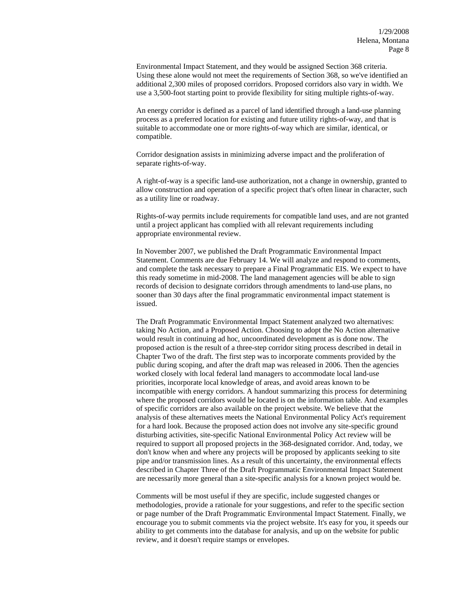Environmental Impact Statement, and they would be assigned Section 368 criteria. Using these alone would not meet the requirements of Section 368, so we've identified an additional 2,300 miles of proposed corridors. Proposed corridors also vary in width. We use a 3,500-foot starting point to provide flexibility for siting multiple rights-of-way.

An energy corridor is defined as a parcel of land identified through a land-use planning process as a preferred location for existing and future utility rights-of-way, and that is suitable to accommodate one or more rights-of-way which are similar, identical, or compatible.

Corridor designation assists in minimizing adverse impact and the proliferation of separate rights-of-way.

A right-of-way is a specific land-use authorization, not a change in ownership, granted to allow construction and operation of a specific project that's often linear in character, such as a utility line or roadway.

Rights-of-way permits include requirements for compatible land uses, and are not granted until a project applicant has complied with all relevant requirements including appropriate environmental review.

In November 2007, we published the Draft Programmatic Environmental Impact Statement. Comments are due February 14. We will analyze and respond to comments, and complete the task necessary to prepare a Final Programmatic EIS. We expect to have this ready sometime in mid-2008. The land management agencies will be able to sign records of decision to designate corridors through amendments to land-use plans, no sooner than 30 days after the final programmatic environmental impact statement is issued.

The Draft Programmatic Environmental Impact Statement analyzed two alternatives: taking No Action, and a Proposed Action. Choosing to adopt the No Action alternative would result in continuing ad hoc, uncoordinated development as is done now. The proposed action is the result of a three-step corridor siting process described in detail in Chapter Two of the draft. The first step was to incorporate comments provided by the public during scoping, and after the draft map was released in 2006. Then the agencies worked closely with local federal land managers to accommodate local land-use priorities, incorporate local knowledge of areas, and avoid areas known to be incompatible with energy corridors. A handout summarizing this process for determining where the proposed corridors would be located is on the information table. And examples of specific corridors are also available on the project website. We believe that the analysis of these alternatives meets the National Environmental Policy Act's requirement for a hard look. Because the proposed action does not involve any site-specific ground disturbing activities, site-specific National Environmental Policy Act review will be required to support all proposed projects in the 368-designated corridor. And, today, we don't know when and where any projects will be proposed by applicants seeking to site pipe and/or transmission lines. As a result of this uncertainty, the environmental effects described in Chapter Three of the Draft Programmatic Environmental Impact Statement are necessarily more general than a site-specific analysis for a known project would be.

Comments will be most useful if they are specific, include suggested changes or methodologies, provide a rationale for your suggestions, and refer to the specific section or page number of the Draft Programmatic Environmental Impact Statement. Finally, we encourage you to submit comments via the project website. It's easy for you, it speeds our ability to get comments into the database for analysis, and up on the website for public review, and it doesn't require stamps or envelopes.